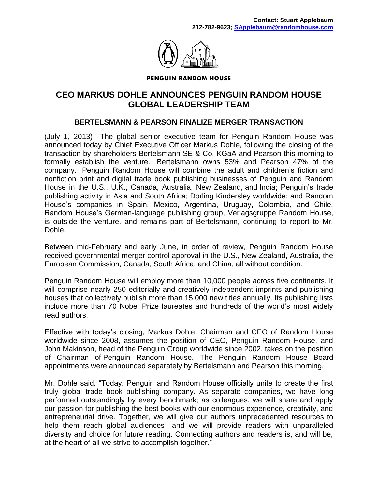

**PENGUIN RANDOM HOUSE** 

## **CEO MARKUS DOHLE ANNOUNCES PENGUIN RANDOM HOUSE GLOBAL LEADERSHIP TEAM**

## **BERTELSMANN & PEARSON FINALIZE MERGER TRANSACTION**

(July 1, 2013)—The global senior executive team for Penguin Random House was announced today by Chief Executive Officer Markus Dohle, following the closing of the transaction by shareholders Bertelsmann SE & Co. KGaA and Pearson this morning to formally establish the venture. Bertelsmann owns 53% and Pearson 47% of the company. Penguin Random House will combine the adult and children's fiction and nonfiction print and digital trade book publishing businesses of Penguin and Random House in the U.S., U.K., Canada, Australia, New Zealand, and India; Penguin's trade publishing activity in Asia and South Africa; Dorling Kindersley worldwide; and Random House's companies in Spain, Mexico, Argentina, Uruguay, Colombia, and Chile. Random House's German-language publishing group, Verlagsgruppe Random House, is outside the venture, and remains part of Bertelsmann, continuing to report to Mr. Dohle.

Between mid-February and early June, in order of review, Penguin Random House received governmental merger control approval in the U.S., New Zealand, Australia, the European Commission, Canada, South Africa, and China, all without condition.

Penguin Random House will employ more than 10,000 people across five continents. It will comprise nearly 250 editorially and creatively independent imprints and publishing houses that collectively publish more than 15,000 new titles annually. Its publishing lists include more than 70 Nobel Prize laureates and hundreds of the world's most widely read authors.

Effective with today's closing, Markus Dohle, Chairman and CEO of Random House worldwide since 2008, assumes the position of CEO, Penguin Random House, and John Makinson, head of the Penguin Group worldwide since 2002, takes on the position of Chairman of Penguin Random House. The Penguin Random House Board appointments were announced separately by Bertelsmann and Pearson this morning.

Mr. Dohle said, "Today, Penguin and Random House officially unite to create the first truly global trade book publishing company. As separate companies, we have long performed outstandingly by every benchmark; as colleagues, we will share and apply our passion for publishing the best books with our enormous experience, creativity, and entrepreneurial drive. Together, we will give our authors unprecedented resources to help them reach global audiences—and we will provide readers with unparalleled diversity and choice for future reading. Connecting authors and readers is, and will be, at the heart of all we strive to accomplish together."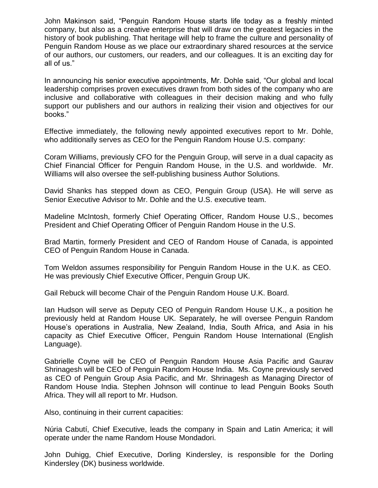John Makinson said, "Penguin Random House starts life today as a freshly minted company, but also as a creative enterprise that will draw on the greatest legacies in the history of book publishing. That heritage will help to frame the culture and personality of Penguin Random House as we place our extraordinary shared resources at the service of our authors, our customers, our readers, and our colleagues. It is an exciting day for all of us."

In announcing his senior executive appointments, Mr. Dohle said, "Our global and local leadership comprises proven executives drawn from both sides of the company who are inclusive and collaborative with colleagues in their decision making and who fully support our publishers and our authors in realizing their vision and objectives for our books."

Effective immediately, the following newly appointed executives report to Mr. Dohle, who additionally serves as CEO for the Penguin Random House U.S. company:

Coram Williams, previously CFO for the Penguin Group, will serve in a dual capacity as Chief Financial Officer for Penguin Random House, in the U.S. and worldwide. Mr. Williams will also oversee the self-publishing business Author Solutions.

David Shanks has stepped down as CEO, Penguin Group (USA). He will serve as Senior Executive Advisor to Mr. Dohle and the U.S. executive team.

Madeline McIntosh, formerly Chief Operating Officer, Random House U.S., becomes President and Chief Operating Officer of Penguin Random House in the U.S.

Brad Martin, formerly President and CEO of Random House of Canada, is appointed CEO of Penguin Random House in Canada.

Tom Weldon assumes responsibility for Penguin Random House in the U.K. as CEO. He was previously Chief Executive Officer, Penguin Group UK.

Gail Rebuck will become Chair of the Penguin Random House U.K. Board.

Ian Hudson will serve as Deputy CEO of Penguin Random House U.K., a position he previously held at Random House UK. Separately, he will oversee Penguin Random House's operations in Australia, New Zealand, India, South Africa, and Asia in his capacity as Chief Executive Officer, Penguin Random House International (English Language).

Gabrielle Coyne will be CEO of Penguin Random House Asia Pacific and Gaurav Shrinagesh will be CEO of Penguin Random House India. Ms. Coyne previously served as CEO of Penguin Group Asia Pacific, and Mr. Shrinagesh as Managing Director of Random House India. Stephen Johnson will continue to lead Penguin Books South Africa. They will all report to Mr. Hudson.

Also, continuing in their current capacities:

Núria Cabutí, Chief Executive, leads the company in Spain and Latin America; it will operate under the name Random House Mondadori.

John Duhigg, Chief Executive, Dorling Kindersley, is responsible for the Dorling Kindersley (DK) business worldwide.